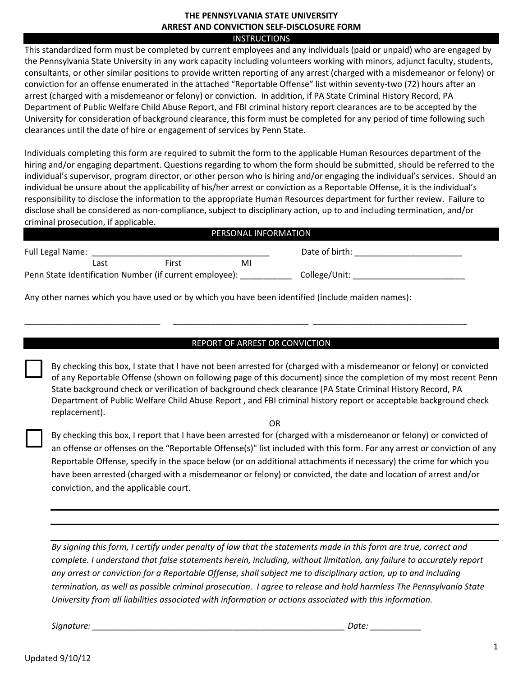## **THE PENNSYLVANIA STATE UNIVERSITY ARREST AND CONVICTION SELF-DISCLOSURE FORM**

## INSTRUCTIONS

This standardized form must be completed by current employees and any individuals (paid or unpaid) who are engaged by the Pennsylvania State University in any work capacity including volunteers working with minors, adjunct faculty, students, consultants, or other similar positions to provide written reporting of any arrest (charged with a misdemeanor or felony) or conviction for an offense enumerated in the attached "Reportable Offense" list within seventy-two (72) hours after an arrest (charged with a misdemeanor or felony) or conviction. In addition, if PA State Criminal History Record, PA Department of Public Welfare Child Abuse Report, and FBI criminal history report clearances are to be accepted by the University for consideration of background clearance, this form must be completed for any period of time following such clearances until the date of hire or engagement of services by Penn State.

Individuals completing this form are required to submit the form to the applicable Human Resources department of the hiring and/or engaging department. Questions regarding to whom the form should be submitted, should be referred to the individual's supervisor, program director, or other person who is hiring and/or engaging the individual's services. Should an individual be unsure about the applicability of his/her arrest or conviction as a Reportable Offense, it is the individual's responsibility to disclose the information to the appropriate Human Resources department for further review. Failure to disclose shall be considered as non-compliance, subject to disciplinary action, up to and including termination, and/or criminal prosecution, if applicable.

| PERSONAL INFORMATION                                    |      |       |    |                |
|---------------------------------------------------------|------|-------|----|----------------|
| Full Legal Name:                                        |      |       |    | Date of birth: |
|                                                         | Last | First | MI |                |
| Penn State Identification Number (if current employee): |      |       |    | College/Unit:  |

Any other names which you have used or by which you have been identified (include maiden names):

## REPORT OF ARREST OR CONVICTION

\_\_\_\_\_\_\_\_\_\_\_\_\_\_\_\_\_\_\_\_\_\_\_\_\_\_\_\_\_ \_\_\_\_\_\_\_\_\_\_\_\_\_\_\_\_\_\_\_\_\_\_\_\_\_\_\_\_\_ \_\_\_\_\_\_\_\_\_\_\_\_\_\_\_\_\_\_\_\_\_\_\_\_\_\_\_\_\_\_\_\_\_

By checking this box, I state that I have not been arrested for (charged with a misdemeanor or felony) or convicted of any Reportable Offense (shown on following page of this document) since the completion of my most recent Penn State background check or verification of background check clearance (PA State Criminal History Record, PA Department of Public Welfare Child Abuse Report , and FBI criminal history report or acceptable background check replacement).

OR

By checking this box, I report that I have been arrested for (charged with a misdemeanor or felony) or convicted of an offense or offenses on the "Reportable Offense(s)" list included with this form. For any arrest or conviction of any Reportable Offense, specify in the space below (or on additional attachments if necessary) the crime for which you have been arrested (charged with a misdemeanor or felony) or convicted, the date and location of arrest and/or conviction, and the applicable court.

*By signing this form, I certify under penalty of law that the statements made in this form are true, correct and complete. I understand that false statements herein, including, without limitation, any failure to accurately report any arrest or conviction for a Reportable Offense, shall subject me to disciplinary action, up to and including termination, as well as possible criminal prosecution. I agree to release and hold harmless The Pennsylvania State University from all liabilities associated with information or actions associated with this information.* 

*Signature: \_\_\_\_\_\_\_\_\_\_\_\_\_\_\_\_\_\_\_\_\_\_\_\_\_\_\_\_\_\_\_\_\_\_\_\_\_\_\_\_\_\_\_\_\_\_\_\_\_\_\_\_\_\_ Date: \_\_\_\_\_\_\_\_\_\_\_*